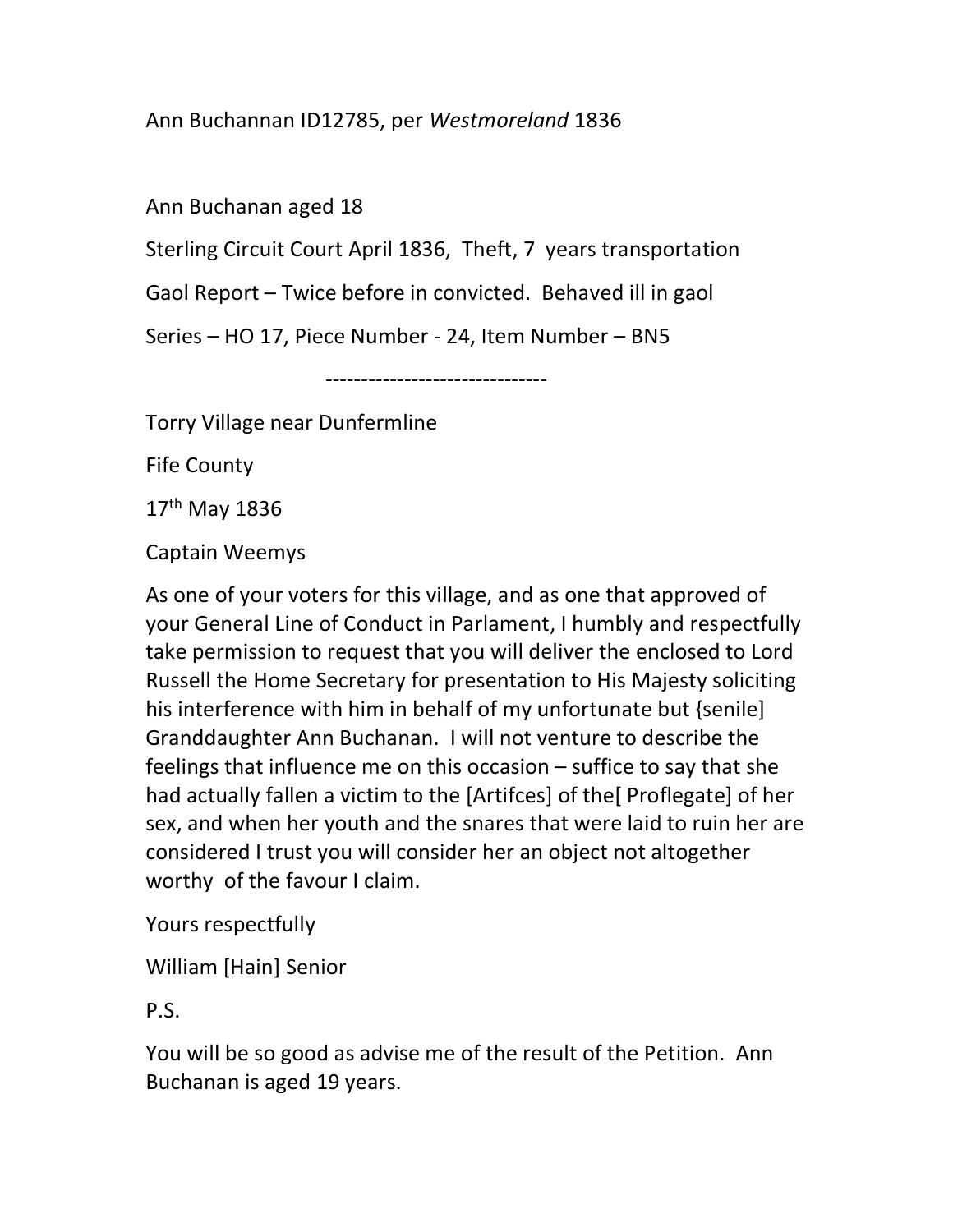## Ann Buchannan ID12785, per Westmoreland 1836

Ann Buchanan aged 18

Sterling Circuit Court April 1836, Theft, 7 years transportation

Gaol Report – Twice before in convicted. Behaved ill in gaol

Series – HO 17, Piece Number - 24, Item Number – BN5

-------------------------------

Torry Village near Dunfermline

Fife County

17th May 1836

Captain Weemys

As one of your voters for this village, and as one that approved of your General Line of Conduct in Parlament, I humbly and respectfully take permission to request that you will deliver the enclosed to Lord Russell the Home Secretary for presentation to His Majesty soliciting his interference with him in behalf of my unfortunate but {senile] Granddaughter Ann Buchanan. I will not venture to describe the feelings that influence me on this occasion – suffice to say that she had actually fallen a victim to the [Artifces] of the[ Proflegate] of her sex, and when her youth and the snares that were laid to ruin her are considered I trust you will consider her an object not altogether worthy of the favour I claim.

Yours respectfully

William [Hain] Senior

P.S.

You will be so good as advise me of the result of the Petition. Ann Buchanan is aged 19 years.